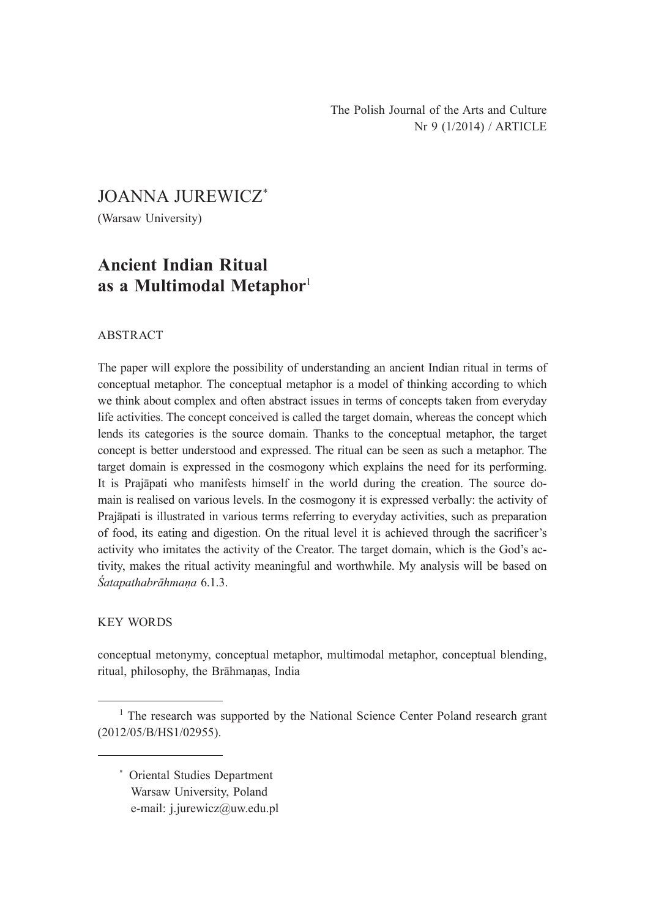The Polish Journal of the Arts and Culture Nr 9 (1/2014) / ARTICLE

JOANNA JUREWICZ\*

(Warsaw University)

## **Ancient Indian Ritual as a Multimodal Metaphor**<sup>1</sup>

### ABSTRACT

The paper will explore the possibility of understanding an ancient Indian ritual in terms of conceptual metaphor. The conceptual metaphor is a model of thinking according to which we think about complex and often abstract issues in terms of concepts taken from everyday life activities. The concept conceived is called the target domain, whereas the concept which lends its categories is the source domain. Thanks to the conceptual metaphor, the target concept is better understood and expressed. The ritual can be seen as such a metaphor. The target domain is expressed in the cosmogony which explains the need for its performing. It is Prajāpati who manifests himself in the world during the creation. The source domain is realised on various levels. In the cosmogony it is expressed verbally: the activity of Prajāpati is illustrated in various terms referring to everyday activities, such as preparation of food, its eating and digestion. On the ritual level it is achieved through the sacrificer's activity who imitates the activity of the Creator. The target domain, which is the God's activity, makes the ritual activity meaningful and worthwhile. My analysis will be based on *Śatapathabrāhmaṇa* 6.1.3.

### KEY WORDS

conceptual metonymy, conceptual metaphor, multimodal metaphor, conceptual blending, ritual, philosophy, the Brāhmaṇas, India

\* Oriental Studies Department Warsaw University, Poland e-mail: j.jurewicz@uw.edu.pl

<sup>&</sup>lt;sup>1</sup> The research was supported by the National Science Center Poland research grant (2012/05/B/HS1/02955).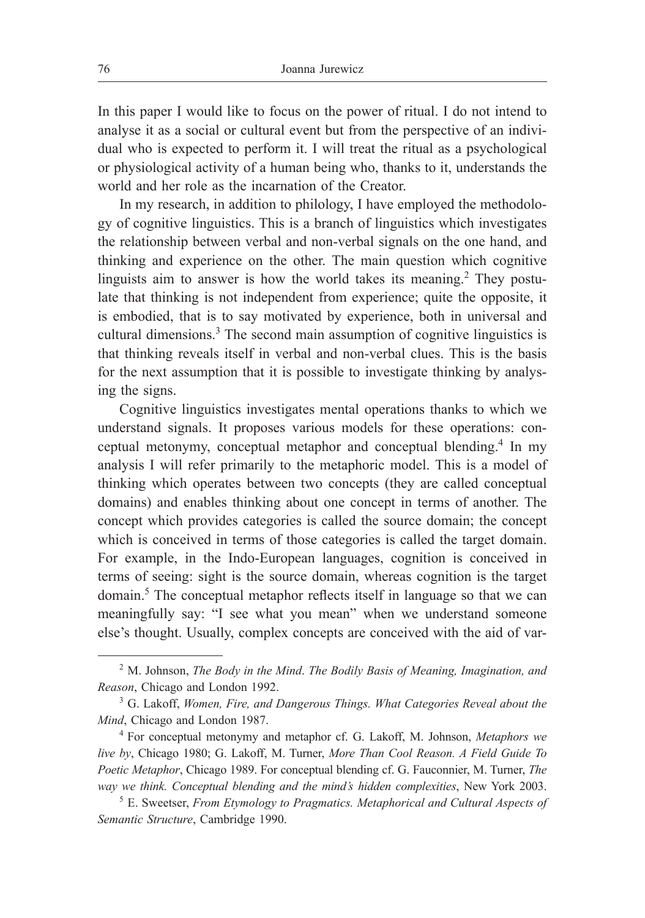In this paper I would like to focus on the power of ritual. I do not intend to analyse it as a social or cultural event but from the perspective of an individual who is expected to perform it. I will treat the ritual as a psychological or physiological activity of a human being who, thanks to it, understands the world and her role as the incarnation of the Creator.

In my research, in addition to philology, I have employed the methodology of cognitive linguistics. This is a branch of linguistics which investigates the relationship between verbal and non-verbal signals on the one hand, and thinking and experience on the other. The main question which cognitive linguists aim to answer is how the world takes its meaning.<sup>2</sup> They postulate that thinking is not independent from experience; quite the opposite, it is embodied, that is to say motivated by experience, both in universal and cultural dimensions.<sup>3</sup> The second main assumption of cognitive linguistics is that thinking reveals itself in verbal and non-verbal clues. This is the basis for the next assumption that it is possible to investigate thinking by analysing the signs.

Cognitive linguistics investigates mental operations thanks to which we understand signals. It proposes various models for these operations: conceptual metonymy, conceptual metaphor and conceptual blending.<sup>4</sup> In my analysis I will refer primarily to the metaphoric model. This is a model of thinking which operates between two concepts (they are called conceptual domains) and enables thinking about one concept in terms of another. The concept which provides categories is called the source domain; the concept which is conceived in terms of those categories is called the target domain. For example, in the Indo-European languages, cognition is conceived in terms of seeing: sight is the source domain, whereas cognition is the target domain.<sup>5</sup> The conceptual metaphor reflects itself in language so that we can meaningfully say: "I see what you mean" when we understand someone else's thought. Usually, complex concepts are conceived with the aid of var-

<sup>2</sup> M. Johnson, *The Body in the Mind*. *The Bodily Basis of Meaning, Imagination, and Reason*, Chicago and London 1992.

<sup>3</sup> G. Lakoff, *Women, Fire, and Dangerous Things. What Categories Reveal about the Mind*, Chicago and London 1987.

<sup>4</sup> For conceptual metonymy and metaphor cf. G. Lakoff, M. Johnson, *Metaphors we live by*, Chicago 1980; G. Lakoff, M. Turner, *More Than Cool Reason. A Field Guide To Poetic Metaphor*, Chicago 1989. For conceptual blending cf. G. Fauconnier, M. Turner, *The way we think. Conceptual blending and the mind's hidden complexities*, New York 2003.

<sup>5</sup> E. Sweetser, *From Etymology to Pragmatics. Metaphorical and Cultural Aspects of Semantic Structure*, Cambridge 1990.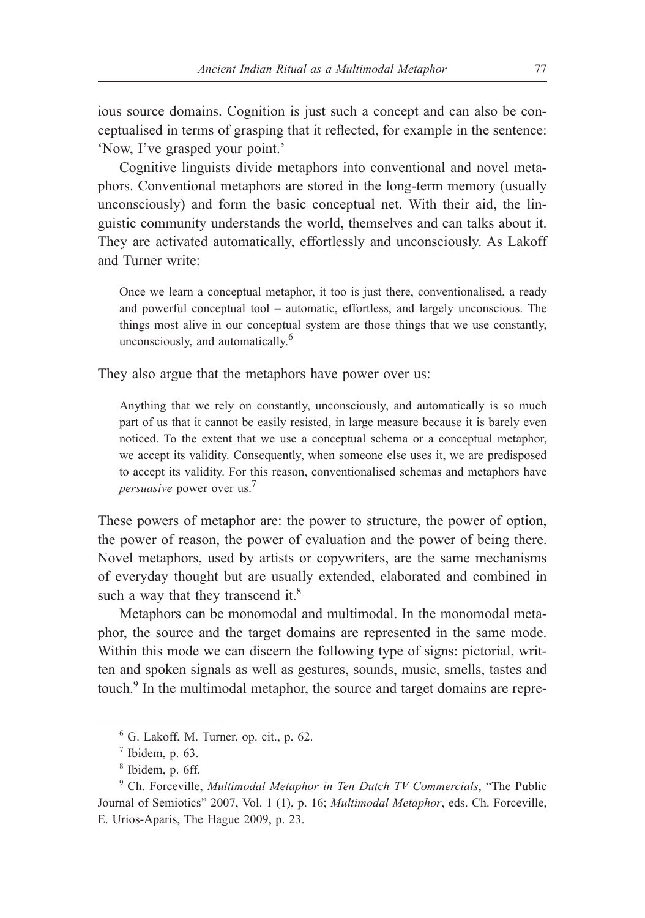ious source domains. Cognition is just such a concept and can also be conceptualised in terms of grasping that it reflected, for example in the sentence: 'Now, I've grasped your point.'

Cognitive linguists divide metaphors into conventional and novel metaphors. Conventional metaphors are stored in the long-term memory (usually unconsciously) and form the basic conceptual net. With their aid, the linguistic community understands the world, themselves and can talks about it. They are activated automatically, effortlessly and unconsciously. As Lakoff and Turner write:

Once we learn a conceptual metaphor, it too is just there, conventionalised, a ready and powerful conceptual tool – automatic, effortless, and largely unconscious. The things most alive in our conceptual system are those things that we use constantly, unconsciously, and automatically.6

They also argue that the metaphors have power over us:

Anything that we rely on constantly, unconsciously, and automatically is so much part of us that it cannot be easily resisted, in large measure because it is barely even noticed. To the extent that we use a conceptual schema or a conceptual metaphor, we accept its validity. Consequently, when someone else uses it, we are predisposed to accept its validity. For this reason, conventionalised schemas and metaphors have *persuasive* power over us.<sup>7</sup>

These powers of metaphor are: the power to structure, the power of option, the power of reason, the power of evaluation and the power of being there. Novel metaphors, used by artists or copywriters, are the same mechanisms of everyday thought but are usually extended, elaborated and combined in such a way that they transcend it.<sup>8</sup>

Metaphors can be monomodal and multimodal. In the monomodal metaphor, the source and the target domains are represented in the same mode. Within this mode we can discern the following type of signs: pictorial, written and spoken signals as well as gestures, sounds, music, smells, tastes and touch.<sup>9</sup> In the multimodal metaphor, the source and target domains are repre-

 $6$  G. Lakoff, M. Turner, op. cit., p. 62.

 $<sup>7</sup>$  Ibidem, p. 63.</sup>

<sup>8</sup> Ibidem, p. 6ff.

<sup>9</sup> Ch. Forceville, *Multimodal Metaphor in Ten Dutch TV Commercials*, "The Public Journal of Semiotics" 2007, Vol. 1 (1), p. 16; *Multimodal Metaphor*, eds. Ch. Forceville, E. Urios-Aparis, The Hague 2009, p. 23.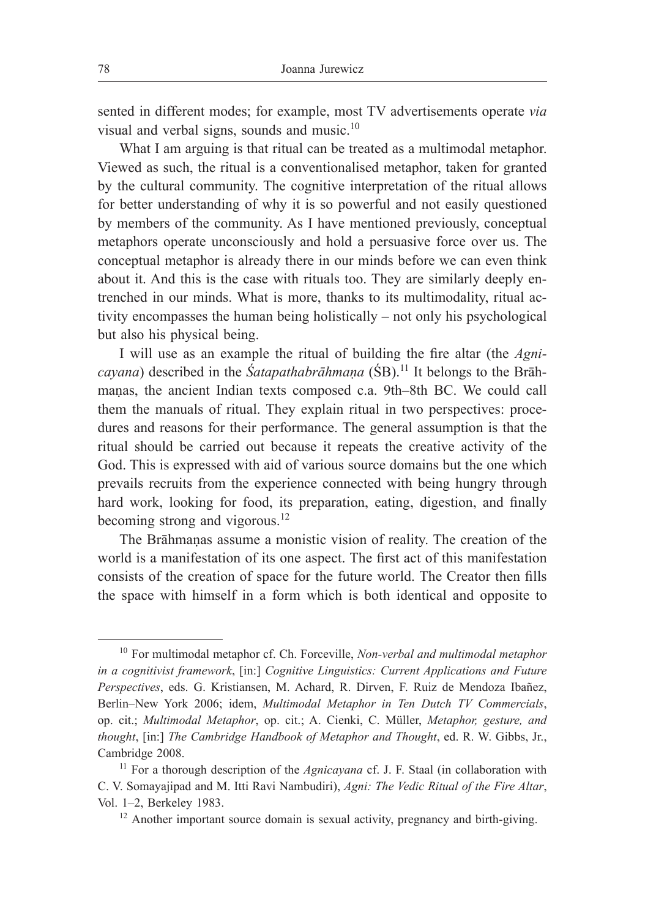sented in different modes; for example, most TV advertisements operate *via* visual and verbal signs, sounds and music.<sup>10</sup>

What I am arguing is that ritual can be treated as a multimodal metaphor. Viewed as such, the ritual is a conventionalised metaphor, taken for granted by the cultural community. The cognitive interpretation of the ritual allows for better understanding of why it is so powerful and not easily questioned by members of the community. As I have mentioned previously, conceptual metaphors operate unconsciously and hold a persuasive force over us. The conceptual metaphor is already there in our minds before we can even think about it. And this is the case with rituals too. They are similarly deeply entrenched in our minds. What is more, thanks to its multimodality, ritual activity encompasses the human being holistically – not only his psychological but also his physical being.

I will use as an example the ritual of building the fire altar (the *Agnicayana*) described in the *Śatapathabrāhmana* (ŚB).<sup>11</sup> It belongs to the Brāhmaṇas, the ancient Indian texts composed c.a. 9th–8th BC. We could call them the manuals of ritual. They explain ritual in two perspectives: procedures and reasons for their performance. The general assumption is that the ritual should be carried out because it repeats the creative activity of the God. This is expressed with aid of various source domains but the one which prevails recruits from the experience connected with being hungry through hard work, looking for food, its preparation, eating, digestion, and finally becoming strong and vigorous.<sup>12</sup>

The Brāhmaṇas assume a monistic vision of reality. The creation of the world is a manifestation of its one aspect. The first act of this manifestation consists of the creation of space for the future world. The Creator then fills the space with himself in a form which is both identical and opposite to

<sup>10</sup> For multimodal metaphor cf. Ch. Forceville, *Non-verbal and multimodal metaphor in a cognitivist framework*, [in:] *Cognitive Linguistics: Current Applications and Future Perspectives*, eds. G. Kristiansen, M. Achard, R. Dirven, F. Ruiz de Mendoza Ibañez, Berlin–New York 2006; idem, *Multimodal Metaphor in Ten Dutch TV Commercials*, op. cit.; *Multimodal Metaphor*, op. cit.; A. Cienki, C. Müller, *Metaphor, gesture, and thought*, [in:] *The Cambridge Handbook of Metaphor and Thought*, ed. R. W. Gibbs, Jr., Cambridge 2008.

<sup>&</sup>lt;sup>11</sup> For a thorough description of the *Agnicayana* cf. J. F. Staal (in collaboration with C. V. Somayajipad and M. Itti Ravi Nambudiri), *Agni: The Vedic Ritual of the Fire Altar*, Vol. 1–2, Berkeley 1983.<br><sup>12</sup> Another important source domain is sexual activity, pregnancy and birth-giving.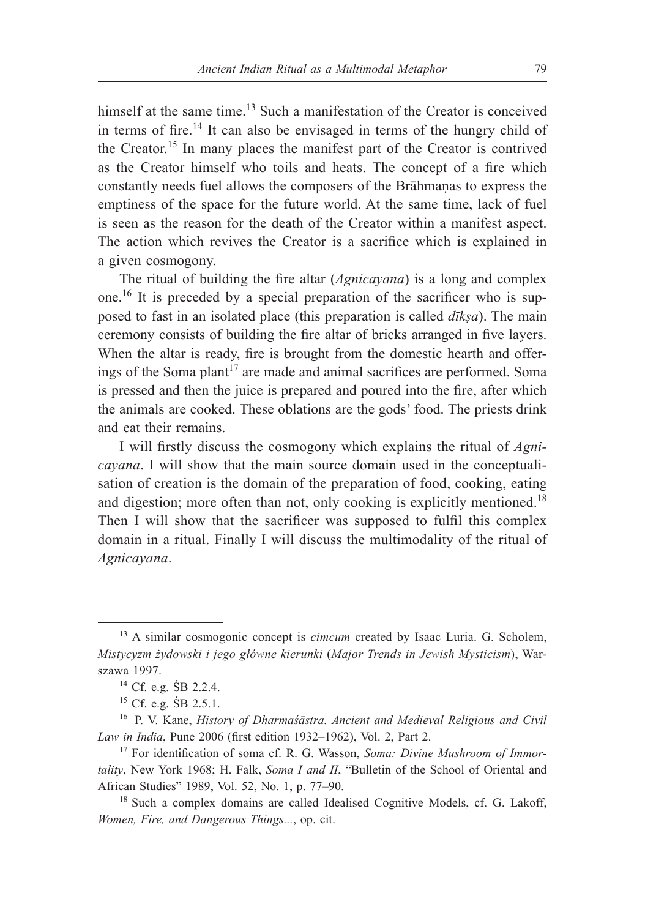himself at the same time.<sup>13</sup> Such a manifestation of the Creator is conceived in terms of fire.14 It can also be envisaged in terms of the hungry child of the Creator.15 In many places the manifest part of the Creator is contrived as the Creator himself who toils and heats. The concept of a fire which constantly needs fuel allows the composers of the Brāhmaṇas to express the emptiness of the space for the future world. At the same time, lack of fuel is seen as the reason for the death of the Creator within a manifest aspect. The action which revives the Creator is a sacrifice which is explained in a given cosmogony.

The ritual of building the fire altar (*Agnicayana*) is a long and complex one.16 It is preceded by a special preparation of the sacrificer who is supposed to fast in an isolated place (this preparation is called *dīkṣa*). The main ceremony consists of building the fire altar of bricks arranged in five layers. When the altar is ready, fire is brought from the domestic hearth and offerings of the Soma plant<sup>17</sup> are made and animal sacrifices are performed. Soma is pressed and then the juice is prepared and poured into the fire, after which the animals are cooked. These oblations are the gods' food. The priests drink and eat their remains.

I will firstly discuss the cosmogony which explains the ritual of *Agnicayana*. I will show that the main source domain used in the conceptualisation of creation is the domain of the preparation of food, cooking, eating and digestion; more often than not, only cooking is explicitly mentioned.<sup>18</sup> Then I will show that the sacrificer was supposed to fulfil this complex domain in a ritual. Finally I will discuss the multimodality of the ritual of *Agnicayana*.

<sup>&</sup>lt;sup>13</sup> A similar cosmogonic concept is *cimcum* created by Isaac Luria. G. Scholem, *Mistycyzm żydowski i jego główne kierunki* (*Major Trends in Jewish Mysticism*), Warszawa 1997.

<sup>14</sup> Cf. e.g. ŚB 2.2.4.

<sup>15</sup> Cf. e.g. ŚB 2.5.1.

<sup>16</sup> P. V. Kane, *History of Dharmaśāstra. Ancient and Medieval Religious and Civil Law in India*, Pune 2006 (first edition 1932–1962), Vol. 2, Part 2.

<sup>17</sup> For identification of soma cf. R. G. Wasson, *Soma: Divine Mushroom of Immortality*, New York 1968; H. Falk, *Soma I and II*, "Bulletin of the School of Oriental and African Studies" 1989, Vol. 52, No. 1, p. 77–90.

<sup>&</sup>lt;sup>18</sup> Such a complex domains are called Idealised Cognitive Models, cf. G. Lakoff, *Women, Fire, and Dangerous Things...*, op. cit.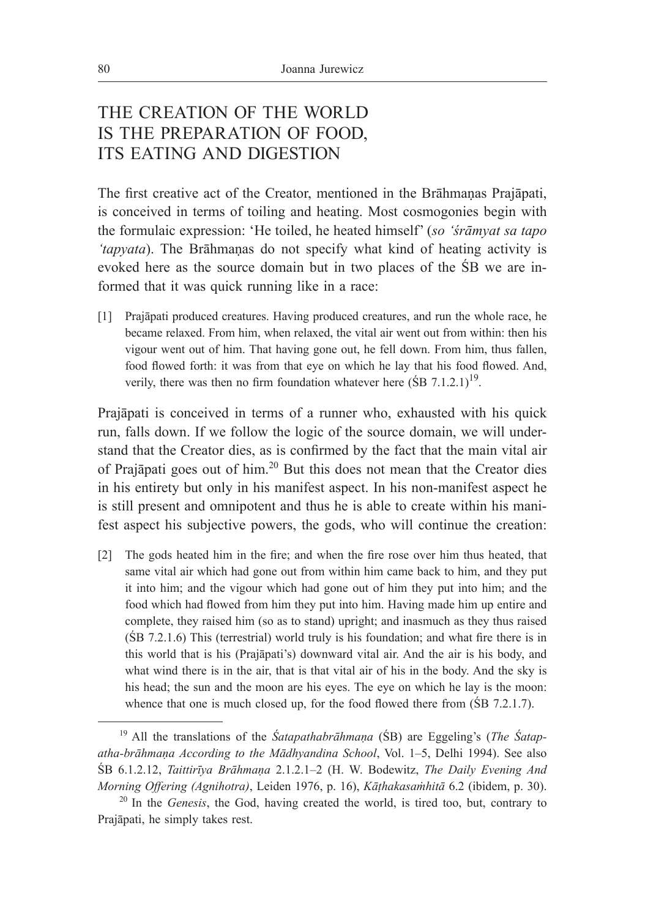# THE CREATION OF THE WORLD IS THE PREPARATION OF FOOD, ITS EATING AND DIGESTION

The first creative act of the Creator, mentioned in the Brāhmaṇas Prajāpati, is conceived in terms of toiling and heating. Most cosmogonies begin with the formulaic expression: 'He toiled, he heated himself' (*so 'śrāmyat sa tapo 'tapyata*). The Brāhmaṇas do not specify what kind of heating activity is evoked here as the source domain but in two places of the ŚB we are informed that it was quick running like in a race:

[1] Prajāpati produced creatures. Having produced creatures, and run the whole race, he became relaxed. From him, when relaxed, the vital air went out from within: then his vigour went out of him. That having gone out, he fell down. From him, thus fallen, food flowed forth: it was from that eye on which he lay that his food flowed. And, verily, there was then no firm foundation whatever here  $(SB 7.1.2.1)^{19}$ .

Prajāpati is conceived in terms of a runner who, exhausted with his quick run, falls down. If we follow the logic of the source domain, we will understand that the Creator dies, as is confirmed by the fact that the main vital air of Prajāpati goes out of him.20 But this does not mean that the Creator dies in his entirety but only in his manifest aspect. In his non-manifest aspect he is still present and omnipotent and thus he is able to create within his manifest aspect his subjective powers, the gods, who will continue the creation:

[2] The gods heated him in the fire; and when the fire rose over him thus heated, that same vital air which had gone out from within him came back to him, and they put it into him; and the vigour which had gone out of him they put into him; and the food which had flowed from him they put into him. Having made him up entire and complete, they raised him (so as to stand) upright; and inasmuch as they thus raised (ŚB 7.2.1.6) This (terrestrial) world truly is his foundation; and what fire there is in this world that is his (Prajāpati's) downward vital air. And the air is his body, and what wind there is in the air, that is that vital air of his in the body. And the sky is his head; the sun and the moon are his eyes. The eye on which he lay is the moon: whence that one is much closed up, for the food flowed there from (SB 7.2.1.7).

<sup>19</sup> All the translations of the *Śatapathabrāhmaṇa* (ŚB) are Eggeling's (*The Śatapatha-brāhmaṇa According to the Mādhyandina School*, Vol. 1–5, Delhi 1994). See also ŚB 6.1.2.12, *Taittirīya Brāhmaṇa* 2.1.2.1–2 (H. W. Bodewitz, *The Daily Evening And Morning Offering (Agnihotra)*, Leiden 1976, p. 16), *Kāṭhakasaṁhitā* 6.2 (ibidem, p. 30).

<sup>20</sup> In the *Genesis*, the God, having created the world, is tired too, but, contrary to Prajāpati, he simply takes rest.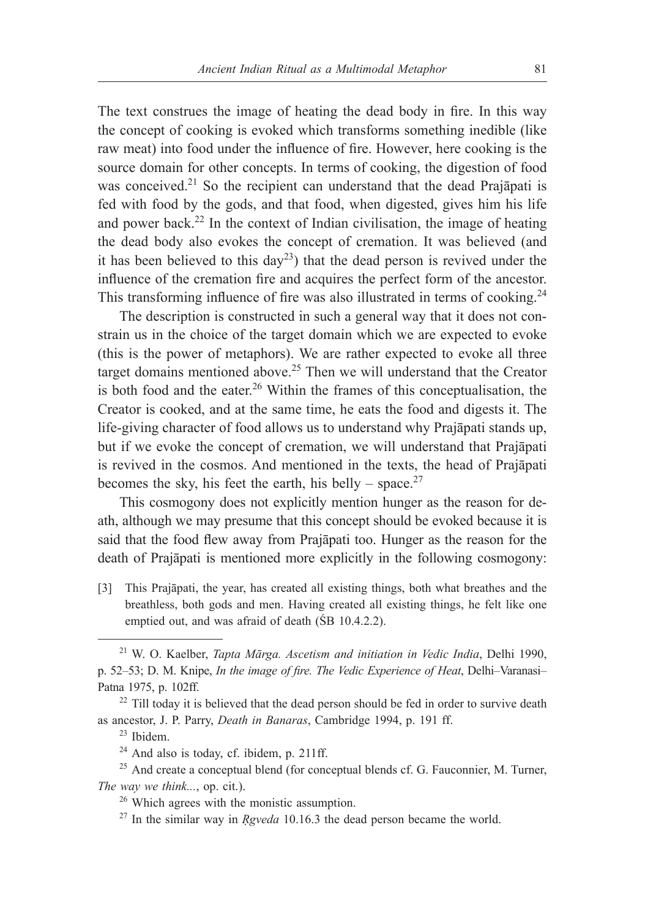The text construes the image of heating the dead body in fire. In this way the concept of cooking is evoked which transforms something inedible (like raw meat) into food under the influence of fire. However, here cooking is the source domain for other concepts. In terms of cooking, the digestion of food was conceived.<sup>21</sup> So the recipient can understand that the dead Prajāpati is fed with food by the gods, and that food, when digested, gives him his life and power back.<sup>22</sup> In the context of Indian civilisation, the image of heating the dead body also evokes the concept of cremation. It was believed (and it has been believed to this  $day^{23}$  that the dead person is revived under the influence of the cremation fire and acquires the perfect form of the ancestor. This transforming influence of fire was also illustrated in terms of cooking.<sup>24</sup>

The description is constructed in such a general way that it does not constrain us in the choice of the target domain which we are expected to evoke (this is the power of metaphors). We are rather expected to evoke all three target domains mentioned above.25 Then we will understand that the Creator is both food and the eater.<sup>26</sup> Within the frames of this conceptualisation, the Creator is cooked, and at the same time, he eats the food and digests it. The life-giving character of food allows us to understand why Prajāpati stands up, but if we evoke the concept of cremation, we will understand that Prajāpati is revived in the cosmos. And mentioned in the texts, the head of Prajāpati becomes the sky, his feet the earth, his belly – space.<sup>27</sup>

This cosmogony does not explicitly mention hunger as the reason for death, although we may presume that this concept should be evoked because it is said that the food flew away from Prajāpati too. Hunger as the reason for the death of Prajāpati is mentioned more explicitly in the following cosmogony:

[3] This Prajāpati, the year, has created all existing things, both what breathes and the breathless, both gods and men. Having created all existing things, he felt like one emptied out, and was afraid of death (ŚB 10.4.2.2).

<sup>21</sup> W. O. Kaelber, *Tapta Mārga. Ascetism and initiation in Vedic India*, Delhi 1990, p. 52–53; D. M. Knipe, *In the image of fire. The Vedic Experience of Heat*, Delhi–Varanasi– Patna 1975, p. 102ff.<br><sup>22</sup> Till today it is believed that the dead person should be fed in order to survive death

as ancestor, J. P. Parry, *Death in Banaras*, Cambridge 1994, p. 191 ff.

 $^{23}$  Ibidem.<br><sup>24</sup> And also is today, cf. ibidem, p. 211ff.

<sup>&</sup>lt;sup>25</sup> And create a conceptual blend (for conceptual blends cf. G. Fauconnier, M. Turner, *The way we think..., op. cit.).* <sup>26</sup> Which agrees with the monistic assumption.

<sup>27</sup> In the similar way in *Ṛgveda* 10.16.3 the dead person became the world.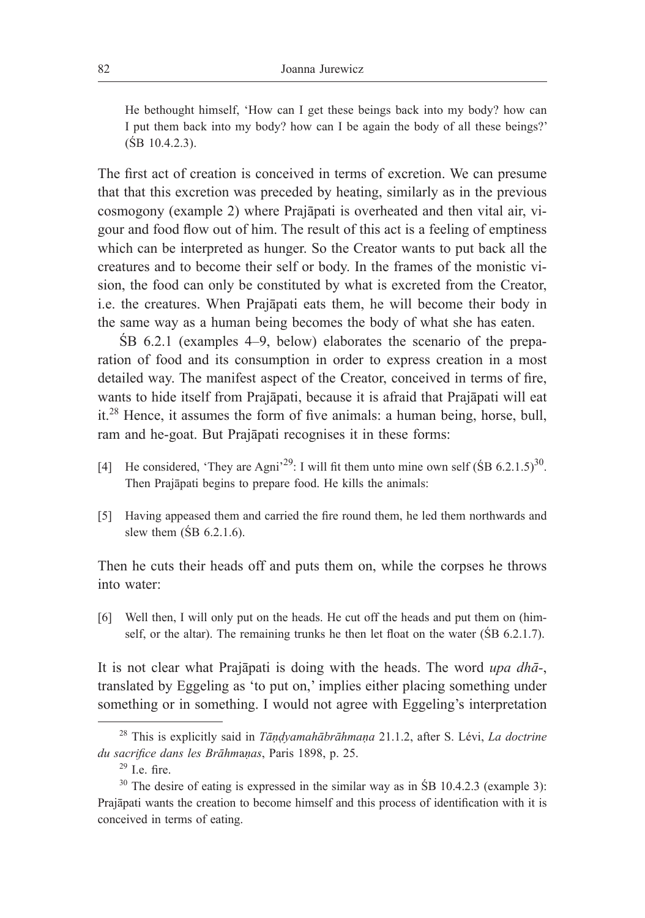He bethought himself, 'How can I get these beings back into my body? how can I put them back into my body? how can I be again the body of all these beings?'  $(SB 10.4.2.3)$ .

The first act of creation is conceived in terms of excretion. We can presume that that this excretion was preceded by heating, similarly as in the previous cosmogony (example 2) where Prajāpati is overheated and then vital air, vigour and food flow out of him. The result of this act is a feeling of emptiness which can be interpreted as hunger. So the Creator wants to put back all the creatures and to become their self or body. In the frames of the monistic vision, the food can only be constituted by what is excreted from the Creator, i.e. the creatures. When Prajāpati eats them, he will become their body in the same way as a human being becomes the body of what she has eaten.

ŚB 6.2.1 (examples 4–9, below) elaborates the scenario of the preparation of food and its consumption in order to express creation in a most detailed way. The manifest aspect of the Creator, conceived in terms of fire, wants to hide itself from Prajāpati, because it is afraid that Prajāpati will eat it.28 Hence, it assumes the form of five animals: a human being, horse, bull, ram and he-goat. But Prajāpati recognises it in these forms:

- [4] He considered, 'They are Agni<sup>29</sup>: I will fit them unto mine own self ( $\sin 6.2.1.5$ )<sup>30</sup>. Then Prajāpati begins to prepare food. He kills the animals:
- [5] Having appeased them and carried the fire round them, he led them northwards and slew them  $(SB 6.2.1.6)$ .

Then he cuts their heads off and puts them on, while the corpses he throws into water:

[6] Well then, I will only put on the heads. He cut off the heads and put them on (himself, or the altar). The remaining trunks he then let float on the water (ŚB 6.2.1.7).

It is not clear what Prajāpati is doing with the heads. The word *upa dhā-*, translated by Eggeling as 'to put on,' implies either placing something under something or in something. I would not agree with Eggeling's interpretation

<sup>28</sup> This is explicitly said in *Tāṇḍyamahābrāhmaṇa* 21.1.2, after S. Lévi, *La doctrine du sacrifice dans les Brāhm*a*ṇas*, Paris 1898, p. 25. 29 I.e. fire.

 $30$  The desire of eating is expressed in the similar way as in SB 10.4.2.3 (example 3): Prajāpati wants the creation to become himself and this process of identification with it is conceived in terms of eating.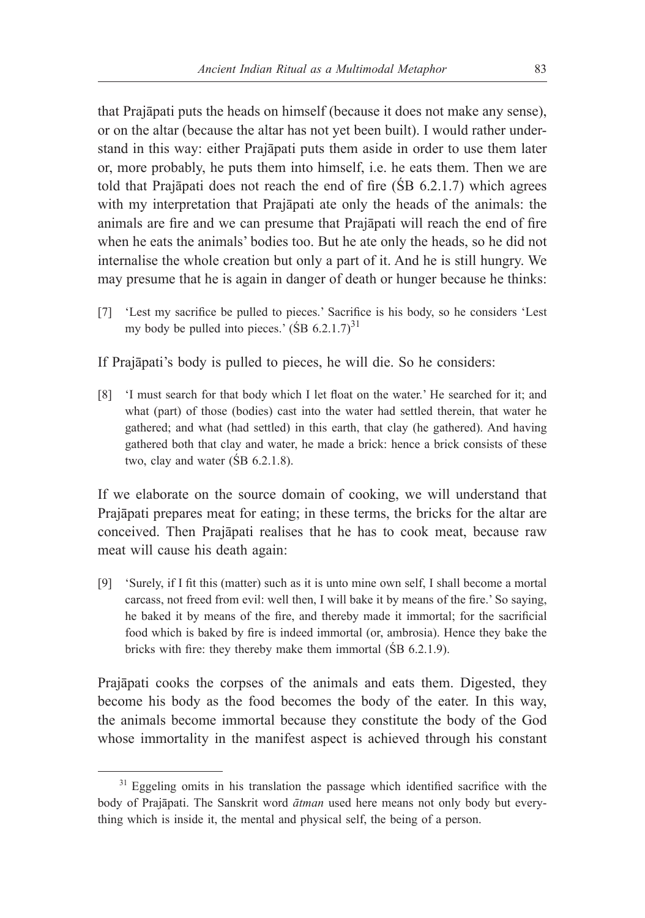that Prajāpati puts the heads on himself (because it does not make any sense), or on the altar (because the altar has not yet been built). I would rather understand in this way: either Prajāpati puts them aside in order to use them later or, more probably, he puts them into himself, i.e. he eats them. Then we are told that Prajāpati does not reach the end of fire (ŚB 6.2.1.7) which agrees with my interpretation that Prajāpati ate only the heads of the animals: the animals are fire and we can presume that Prajāpati will reach the end of fire when he eats the animals' bodies too. But he ate only the heads, so he did not internalise the whole creation but only a part of it. And he is still hungry. We may presume that he is again in danger of death or hunger because he thinks:

[7] 'Lest my sacrifice be pulled to pieces.' Sacrifice is his body, so he considers 'Lest my body be pulled into pieces.'  $(SB 6.2.1.7)^{31}$ 

If Prajāpati's body is pulled to pieces, he will die. So he considers:

[8] 'I must search for that body which I let float on the water.' He searched for it; and what (part) of those (bodies) cast into the water had settled therein, that water he gathered; and what (had settled) in this earth, that clay (he gathered). And having gathered both that clay and water, he made a brick: hence a brick consists of these two, clay and water (ŚB 6.2.1.8).

If we elaborate on the source domain of cooking, we will understand that Prajāpati prepares meat for eating; in these terms, the bricks for the altar are conceived. Then Prajāpati realises that he has to cook meat, because raw meat will cause his death again:

[9] 'Surely, if I fit this (matter) such as it is unto mine own self, I shall become a mortal carcass, not freed from evil: well then, I will bake it by means of the fire.' So saying, he baked it by means of the fire, and thereby made it immortal; for the sacrificial food which is baked by fire is indeed immortal (or, ambrosia). Hence they bake the bricks with fire: they thereby make them immortal (ŚB 6.2.1.9).

Prajāpati cooks the corpses of the animals and eats them. Digested, they become his body as the food becomes the body of the eater. In this way, the animals become immortal because they constitute the body of the God whose immortality in the manifest aspect is achieved through his constant

<sup>&</sup>lt;sup>31</sup> Eggeling omits in his translation the passage which identified sacrifice with the body of Prajāpati. The Sanskrit word *ātman* used here means not only body but everything which is inside it, the mental and physical self, the being of a person.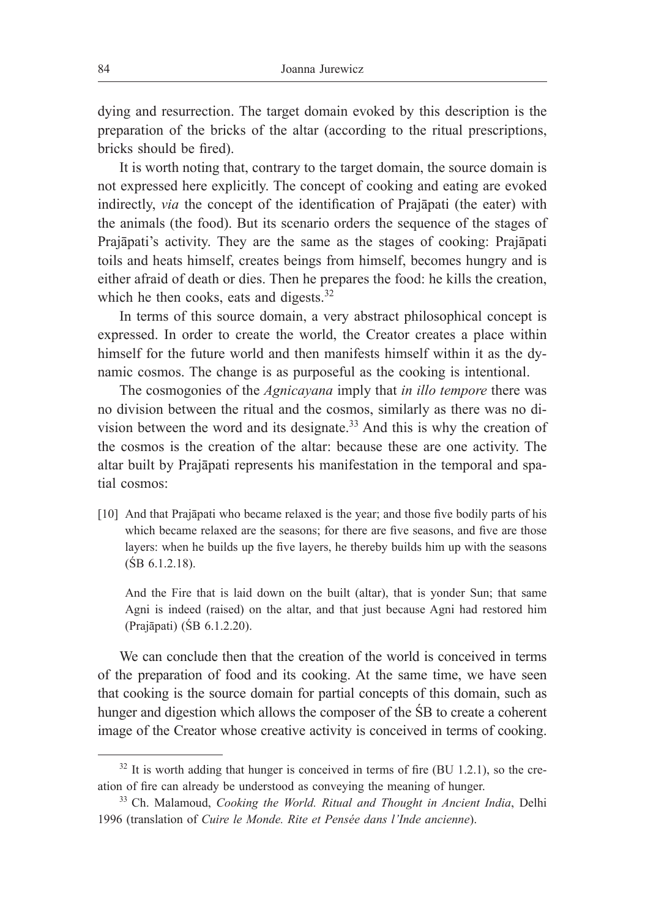dying and resurrection. The target domain evoked by this description is the preparation of the bricks of the altar (according to the ritual prescriptions, bricks should be fired).

It is worth noting that, contrary to the target domain, the source domain is not expressed here explicitly. The concept of cooking and eating are evoked indirectly, *via* the concept of the identification of Prajāpati (the eater) with the animals (the food). But its scenario orders the sequence of the stages of Prajāpati's activity. They are the same as the stages of cooking: Prajāpati toils and heats himself, creates beings from himself, becomes hungry and is either afraid of death or dies. Then he prepares the food: he kills the creation, which he then cooks, eats and digests.<sup>32</sup>

In terms of this source domain, a very abstract philosophical concept is expressed. In order to create the world, the Creator creates a place within himself for the future world and then manifests himself within it as the dynamic cosmos. The change is as purposeful as the cooking is intentional.

The cosmogonies of the *Agnicayana* imply that *in illo tempore* there was no division between the ritual and the cosmos, similarly as there was no division between the word and its designate.33 And this is why the creation of the cosmos is the creation of the altar: because these are one activity. The altar built by Prajāpati represents his manifestation in the temporal and spatial cosmos:

[10] And that Prajāpati who became relaxed is the year; and those five bodily parts of his which became relaxed are the seasons; for there are five seasons, and five are those layers: when he builds up the five layers, he thereby builds him up with the seasons (ŚB 6.1.2.18).

And the Fire that is laid down on the built (altar), that is yonder Sun; that same Agni is indeed (raised) on the altar, and that just because Agni had restored him (Prajāpati) (ŚB 6.1.2.20).

We can conclude then that the creation of the world is conceived in terms of the preparation of food and its cooking. At the same time, we have seen that cooking is the source domain for partial concepts of this domain, such as hunger and digestion which allows the composer of the ŚB to create a coherent image of the Creator whose creative activity is conceived in terms of cooking.

 $32$  It is worth adding that hunger is conceived in terms of fire (BU 1.2.1), so the creation of fire can already be understood as conveying the meaning of hunger.

<sup>33</sup> Ch. Malamoud, *Cooking the World. Ritual and Thought in Ancient India*, Delhi 1996 (translation of *Cuire le Monde. Rite et Pensée dans l'Inde ancienne*).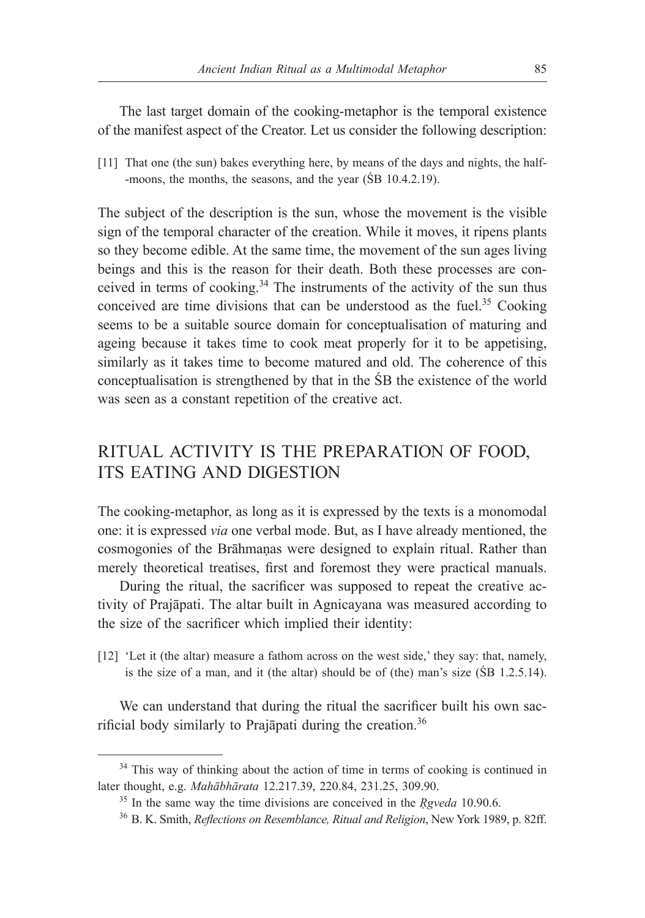The last target domain of the cooking-metaphor is the temporal existence of the manifest aspect of the Creator. Let us consider the following description:

[11] That one (the sun) bakes everything here, by means of the days and nights, the half- -moons, the months, the seasons, and the year (SB 10.4.2.19).

The subject of the description is the sun, whose the movement is the visible sign of the temporal character of the creation. While it moves, it ripens plants so they become edible. At the same time, the movement of the sun ages living beings and this is the reason for their death. Both these processes are conceived in terms of cooking. $34$  The instruments of the activity of the sun thus conceived are time divisions that can be understood as the fuel.<sup>35</sup> Cooking seems to be a suitable source domain for conceptualisation of maturing and ageing because it takes time to cook meat properly for it to be appetising, similarly as it takes time to become matured and old. The coherence of this conceptualisation is strengthened by that in the ŚB the existence of the world was seen as a constant repetition of the creative act.

# RITUAL ACTIVITY IS THE PREPARATION OF FOOD, ITS EATING AND DIGESTION

The cooking-metaphor, as long as it is expressed by the texts is a monomodal one: it is expressed *via* one verbal mode. But, as I have already mentioned, the cosmogonies of the Brāhmaṇas were designed to explain ritual. Rather than merely theoretical treatises, first and foremost they were practical manuals.

During the ritual, the sacrificer was supposed to repeat the creative activity of Prajāpati. The altar built in Agnicayana was measured according to the size of the sacrificer which implied their identity:

[12] 'Let it (the altar) measure a fathom across on the west side,' they say: that, namely, is the size of a man, and it (the altar) should be of (the) man's size (ŚB 1.2.5.14).

We can understand that during the ritual the sacrificer built his own sacrificial body similarly to Prajāpati during the creation.<sup>36</sup>

<sup>&</sup>lt;sup>34</sup> This way of thinking about the action of time in terms of cooking is continued in later thought, e.g. *Mahābhārata* 12.217.39, 220.84, 231.25, 309.90.

<sup>35</sup> In the same way the time divisions are conceived in the *Ṛgveda* 10.90.6.

<sup>36</sup> B. K. Smith, *Reflections on Resemblance, Ritual and Religion*, New York 1989, p. 82ff.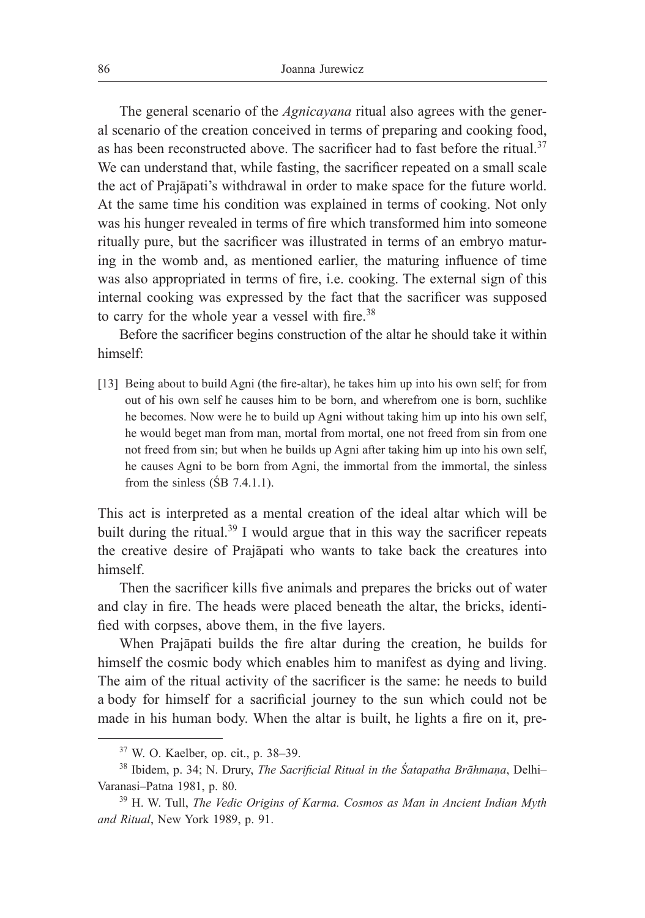The general scenario of the *Agnicayana* ritual also agrees with the general scenario of the creation conceived in terms of preparing and cooking food, as has been reconstructed above. The sacrificer had to fast before the ritual.<sup>37</sup> We can understand that, while fasting, the sacrificer repeated on a small scale the act of Prajāpati's withdrawal in order to make space for the future world. At the same time his condition was explained in terms of cooking. Not only was his hunger revealed in terms of fire which transformed him into someone ritually pure, but the sacrificer was illustrated in terms of an embryo maturing in the womb and, as mentioned earlier, the maturing influence of time was also appropriated in terms of fire, i.e. cooking. The external sign of this internal cooking was expressed by the fact that the sacrificer was supposed to carry for the whole year a vessel with fire.<sup>38</sup>

Before the sacrificer begins construction of the altar he should take it within himself:

[13] Being about to build Agni (the fire-altar), he takes him up into his own self; for from out of his own self he causes him to be born, and wherefrom one is born, suchlike he becomes. Now were he to build up Agni without taking him up into his own self, he would beget man from man, mortal from mortal, one not freed from sin from one not freed from sin; but when he builds up Agni after taking him up into his own self, he causes Agni to be born from Agni, the immortal from the immortal, the sinless from the sinless  $(SB 7.4.1.1)$ .

This act is interpreted as a mental creation of the ideal altar which will be built during the ritual.<sup>39</sup> I would argue that in this way the sacrificer repeats the creative desire of Prajāpati who wants to take back the creatures into himself.

Then the sacrificer kills five animals and prepares the bricks out of water and clay in fire. The heads were placed beneath the altar, the bricks, identified with corpses, above them, in the five layers.

When Prajāpati builds the fire altar during the creation, he builds for himself the cosmic body which enables him to manifest as dying and living. The aim of the ritual activity of the sacrificer is the same: he needs to build a body for himself for a sacrificial journey to the sun which could not be made in his human body. When the altar is built, he lights a fire on it, pre-

<sup>37</sup> W. O. Kaelber, op. cit., p. 38–39.

<sup>38</sup> Ibidem, p. 34; N. Drury, *The Sacrificial Ritual in the Śatapatha Brāhmaṇa*, Delhi– Varanasi–Patna 1981, p. 80.

<sup>39</sup> H. W. Tull, *The Vedic Origins of Karma. Cosmos as Man in Ancient Indian Myth and Ritual*, New York 1989, p. 91.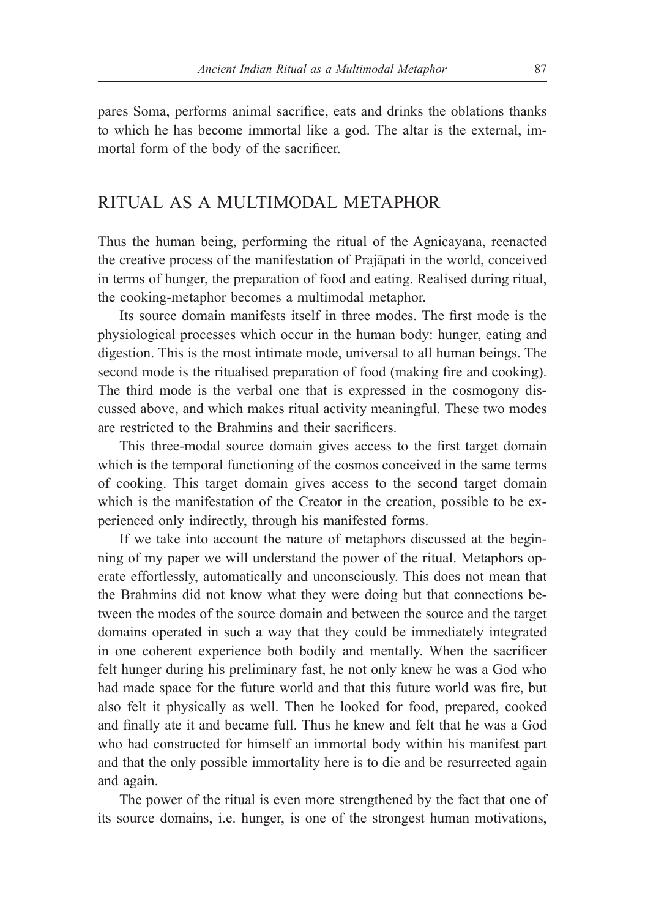pares Soma, performs animal sacrifice, eats and drinks the oblations thanks to which he has become immortal like a god. The altar is the external, immortal form of the body of the sacrificer.

### RITUAL AS A MULTIMODAL METAPHOR

Thus the human being, performing the ritual of the Agnicayana, reenacted the creative process of the manifestation of Prajāpati in the world, conceived in terms of hunger, the preparation of food and eating. Realised during ritual, the cooking-metaphor becomes a multimodal metaphor.

Its source domain manifests itself in three modes. The first mode is the physiological processes which occur in the human body: hunger, eating and digestion. This is the most intimate mode, universal to all human beings. The second mode is the ritualised preparation of food (making fire and cooking). The third mode is the verbal one that is expressed in the cosmogony discussed above, and which makes ritual activity meaningful. These two modes are restricted to the Brahmins and their sacrificers.

This three-modal source domain gives access to the first target domain which is the temporal functioning of the cosmos conceived in the same terms of cooking. This target domain gives access to the second target domain which is the manifestation of the Creator in the creation, possible to be experienced only indirectly, through his manifested forms.

If we take into account the nature of metaphors discussed at the beginning of my paper we will understand the power of the ritual. Metaphors operate effortlessly, automatically and unconsciously. This does not mean that the Brahmins did not know what they were doing but that connections between the modes of the source domain and between the source and the target domains operated in such a way that they could be immediately integrated in one coherent experience both bodily and mentally. When the sacrificer felt hunger during his preliminary fast, he not only knew he was a God who had made space for the future world and that this future world was fire, but also felt it physically as well. Then he looked for food, prepared, cooked and finally ate it and became full. Thus he knew and felt that he was a God who had constructed for himself an immortal body within his manifest part and that the only possible immortality here is to die and be resurrected again and again.

The power of the ritual is even more strengthened by the fact that one of its source domains, i.e. hunger, is one of the strongest human motivations,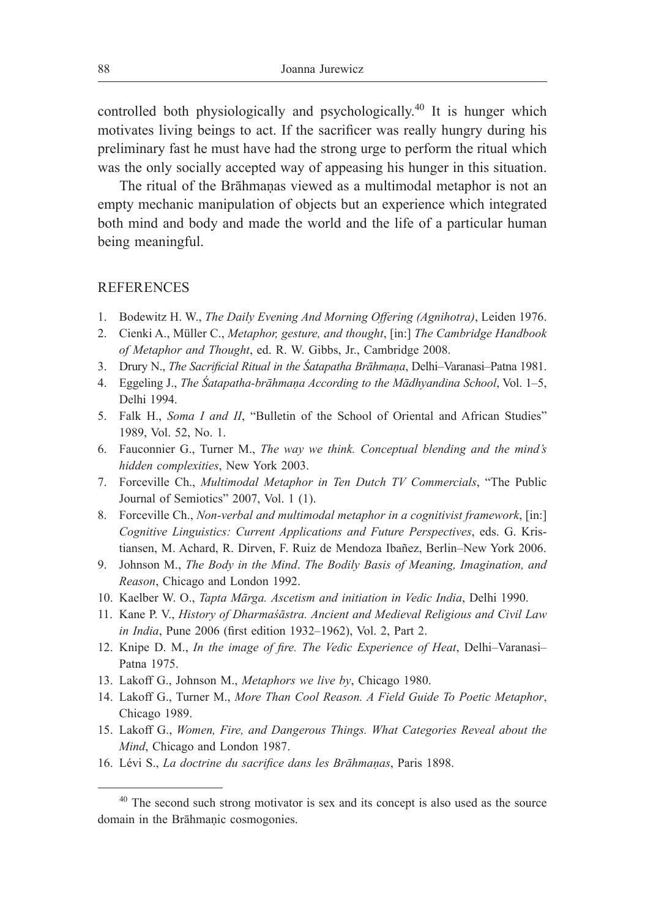controlled both physiologically and psychologically.40 It is hunger which motivates living beings to act. If the sacrificer was really hungry during his preliminary fast he must have had the strong urge to perform the ritual which was the only socially accepted way of appeasing his hunger in this situation.

The ritual of the Brāhmaṇas viewed as a multimodal metaphor is not an empty mechanic manipulation of objects but an experience which integrated both mind and body and made the world and the life of a particular human being meaningful.

### **REFERENCES**

- 1. Bodewitz H. W., *The Daily Evening And Morning Offering (Agnihotra)*, Leiden 1976.
- 2. Cienki A., Müller C., *Metaphor, gesture, and thought*, [in:] *The Cambridge Handbook of Metaphor and Thought*, ed. R. W. Gibbs, Jr., Cambridge 2008.
- 3. Drury N., *The Sacrificial Ritual in the Śatapatha Brāhmaṇa*, Delhi–Varanasi–Patna 1981.
- 4. Eggeling J., *The Śatapatha-brāhmaṇa According to the Mādhyandina School*, Vol. 1–5, Delhi 1994.
- 5. Falk H., *Soma I and II*, "Bulletin of the School of Oriental and African Studies" 1989, Vol. 52, No. 1.
- 6. Fauconnier G., Turner M., *The way we think. Conceptual blending and the mind's hidden complexities*, New York 2003.
- 7. Forceville Ch., *Multimodal Metaphor in Ten Dutch TV Commercials*, "The Public Journal of Semiotics" 2007, Vol. 1 (1).
- 8. Forceville Ch., *Non-verbal and multimodal metaphor in a cognitivist framework*, [in:] *Cognitive Linguistics: Current Applications and Future Perspectives*, eds. G. Kristiansen, M. Achard, R. Dirven, F. Ruiz de Mendoza Ibañez, Berlin–New York 2006.
- 9. Johnson M., *The Body in the Mind*. *The Bodily Basis of Meaning, Imagination, and Reason*, Chicago and London 1992.
- 10. Kaelber W. O., *Tapta Mārga. Ascetism and initiation in Vedic India*, Delhi 1990.
- 11. Kane P. V., *History of Dharmaśāstra. Ancient and Medieval Religious and Civil Law in India*, Pune 2006 (first edition 1932–1962), Vol. 2, Part 2.
- 12. Knipe D. M., *In the image of fire. The Vedic Experience of Heat*, Delhi–Varanasi– Patna 1975.
- 13. Lakoff G., Johnson M., *Metaphors we live by*, Chicago 1980.
- 14. Lakoff G., Turner M., *More Than Cool Reason. A Field Guide To Poetic Metaphor*, Chicago 1989.
- 15. Lakoff G., *Women, Fire, and Dangerous Things. What Categories Reveal about the Mind*, Chicago and London 1987.
- 16. Lévi S., *La doctrine du sacrifice dans les Brāhmaṇas*, Paris 1898.

<sup>&</sup>lt;sup>40</sup> The second such strong motivator is sex and its concept is also used as the source domain in the Brāhmaṇic cosmogonies.